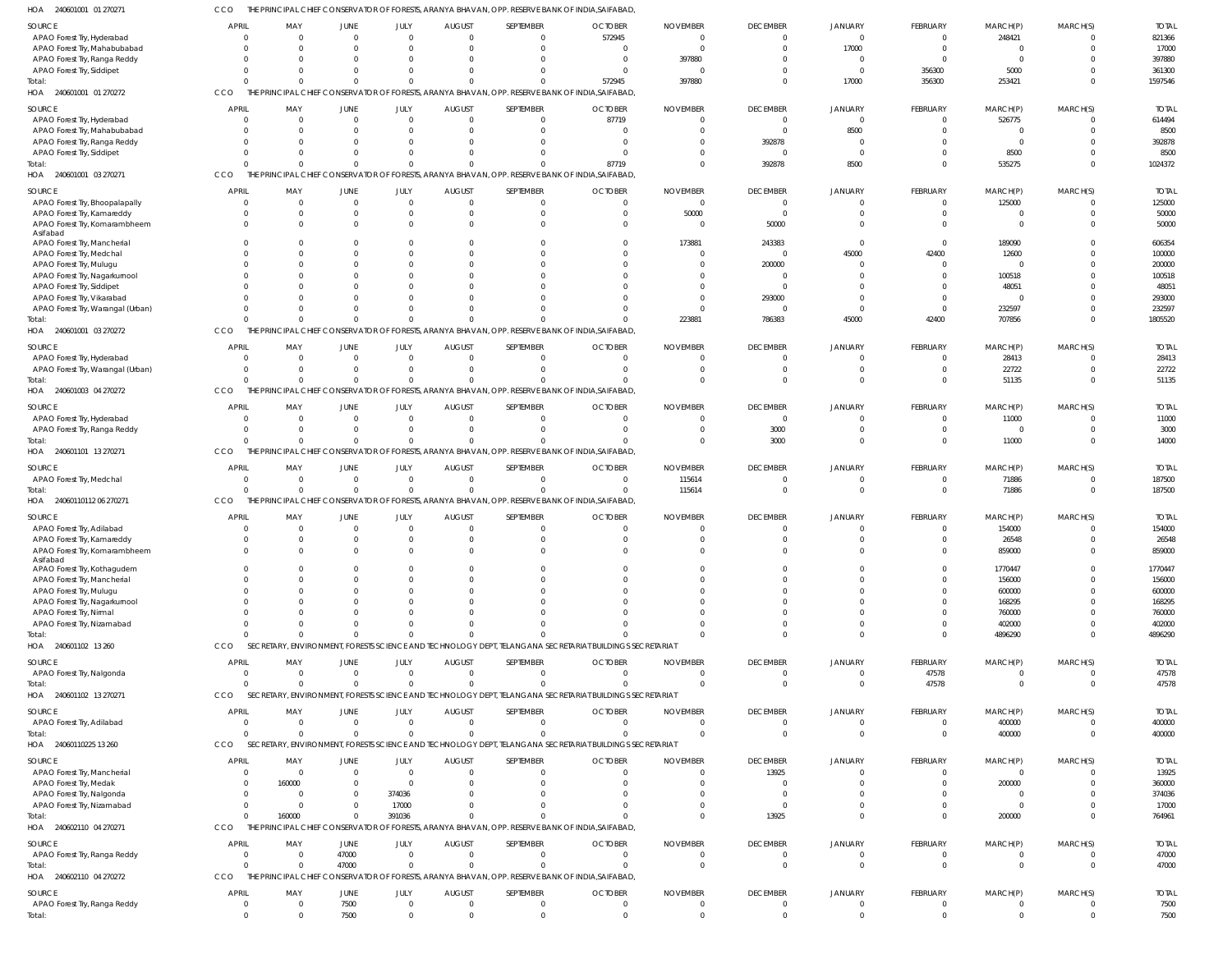| HOA<br>240601001 01 270271              | CCO                            |                       |                |                         |                           |                             | THE PRINCIPAL CHIEF CONSERVATOR OF FORESTS, ARANYA BHAVAN, OPP. RESERVE BANK OF INDIA,SAIFABAD           |                      |                                   |                                |                            |                        |                            |              |
|-----------------------------------------|--------------------------------|-----------------------|----------------|-------------------------|---------------------------|-----------------------------|----------------------------------------------------------------------------------------------------------|----------------------|-----------------------------------|--------------------------------|----------------------------|------------------------|----------------------------|--------------|
| SOURCE                                  | <b>APRIL</b>                   | MAY                   | JUNE           | JULY                    | <b>AUGUST</b>             | SEPTEMBER                   | <b>OCTOBER</b>                                                                                           | <b>NOVEMBER</b>      | <b>DECEMBER</b>                   | <b>JANUARY</b>                 | <b>FEBRUARY</b>            | MARCH(P)               | MARCH(S)                   | <b>TOTAL</b> |
| APAO Forest Try, Hyderabad              | $\Omega$                       | $\overline{0}$        | $\Omega$       | $\overline{0}$          | $\Omega$                  | $\overline{0}$              | 572945                                                                                                   | $\Omega$             | $\overline{0}$                    | $\mathbf 0$                    | $\overline{0}$             | 248421                 | $\Omega$                   | 821366       |
| APAO Forest Try, Mahabubabad            | $\Omega$                       | $\Omega$              | $\Omega$       | $\Omega$                | $\Omega$                  | $\Omega$                    | $\overline{0}$                                                                                           | $\Omega$             | $\overline{0}$                    | 17000                          | $\overline{0}$             | $\overline{0}$         | $\Omega$                   | 17000        |
| APAO Forest Try, Ranga Reddy            | $\Omega$                       | $\overline{0}$        | $\Omega$       | $\Omega$                | $\Omega$                  | $\Omega$                    | $\overline{0}$                                                                                           | 397880               | $\overline{0}$                    | $\overline{0}$                 | $\overline{0}$             | $\overline{0}$         | $\Omega$                   | 397880       |
| APAO Forest Try, Siddipet               | $\Omega$                       | $\overline{0}$        | $\Omega$       | $\Omega$                | $\Omega$                  | $\Omega$                    | $\Omega$                                                                                                 |                      | $\Omega$                          | $\Omega$                       | 356300                     | 5000                   | $\Omega$                   | 361300       |
| Total:                                  | $\Omega$                       | $\Omega$              | $\Omega$       | $\Omega$                | $\Omega$                  | $\Omega$                    | 572945                                                                                                   | 397880               | $\Omega$                          | 17000                          | 356300                     | 253421                 | $\Omega$                   | 1597546      |
| HOA 240601001 01 270272                 | CCO                            |                       |                |                         |                           |                             | THE PRINCIPAL CHIEF CONSERVATOR OF FORESTS, ARANYA BHAVAN, OPP. RESERVE BANK OF INDIA, SAIFABAD,         |                      |                                   |                                |                            |                        |                            |              |
|                                         |                                |                       |                |                         |                           |                             |                                                                                                          |                      |                                   |                                |                            |                        |                            |              |
| SOURCE                                  | <b>APRIL</b>                   | MAY                   | JUNE           | JULY                    | <b>AUGUST</b>             | SEPTEMBER                   | <b>OCTOBER</b>                                                                                           | <b>NOVEMBER</b>      | <b>DECEMBER</b>                   | <b>JANUARY</b>                 | <b>FEBRUARY</b>            | MARCH(P)               | MARCH(S)                   | <b>TOTAL</b> |
| APAO Forest Try, Hyderabad              | $\overline{0}$                 | $\overline{0}$        | $\overline{0}$ | $\overline{0}$          | $\Omega$                  | $\overline{0}$              | 87719                                                                                                    |                      | $\overline{0}$                    | $\overline{0}$                 | $\overline{0}$             | 526775                 | $\mathbf{0}$               | 614494       |
| APAO Forest Try, Mahabubabad            | $\Omega$                       | $\overline{0}$        | $\Omega$       | $\Omega$                | $\Omega$                  | $\overline{0}$              | $\overline{0}$                                                                                           | $\Omega$             | $\overline{0}$                    | 8500                           | $\overline{0}$             | $\overline{0}$         | $\overline{0}$             | 8500         |
| APAO Forest Try, Ranga Reddy            | $\Omega$                       | $\overline{0}$        | $\Omega$       | $\Omega$                | $\Omega$                  | $\Omega$                    | $\Omega$                                                                                                 | 0                    | 392878                            | $\Omega$                       | $\Omega$                   | $\overline{0}$         | $\Omega$                   | 392878       |
| APAO Forest Try, Siddipet               | $\Omega$                       | $\Omega$              | $\Omega$       | $\Omega$                | $\Omega$                  | $\Omega$                    | $\Omega$                                                                                                 |                      | $\overline{0}$                    | $\Omega$                       | $\Omega$                   | 8500                   | $\Omega$                   | 8500         |
| Total:                                  | $\Omega$                       | $\Omega$              | $\Omega$       | $\overline{0}$          | $\Omega$                  | $\Omega$                    | 87719                                                                                                    | $\Omega$             | 392878                            | 8500                           | $\Omega$                   | 535275                 | $\Omega$                   | 1024372      |
| 240601001 03 270271<br>HOA              | CCO                            |                       |                |                         |                           |                             | THE PRINCIPAL CHIEF CONSERVATOR OF FORESTS, ARANYA BHAVAN, OPP. RESERVE BANK OF INDIA, SAIFABAD,         |                      |                                   |                                |                            |                        |                            |              |
| SOURCE                                  | <b>APRIL</b>                   | MAY                   | JUNE           | JULY                    | <b>AUGUST</b>             | SEPTEMBER                   | <b>OCTOBER</b>                                                                                           | <b>NOVEMBER</b>      | <b>DECEMBER</b>                   | <b>JANUARY</b>                 | FEBRUARY                   | MARCH(P)               | MARCH(S)                   | <b>TOTAL</b> |
|                                         | $\Omega$                       | $\overline{0}$        | $\overline{0}$ | $\overline{0}$          | $\Omega$                  |                             |                                                                                                          | $\Omega$             |                                   |                                |                            |                        | $\Omega$                   |              |
| APAO Forest Try, Bhoopalapally          |                                |                       |                |                         |                           | $\overline{0}$              | $\overline{0}$                                                                                           |                      | $\overline{\mathbf{0}}$           | $\Omega$                       | $\overline{0}$             | 125000                 |                            | 125000       |
| APAO Forest Try, Kamareddy              | $\overline{0}$                 | $\overline{0}$        | $\overline{0}$ | $\overline{0}$          | $\Omega$                  | $\overline{0}$              | $\mathbf 0$                                                                                              | 50000                | $\overline{0}$                    |                                | $\overline{0}$             | $\overline{0}$         | $\mathbf{0}$               | 50000        |
| APAO Forest Try, Komarambheem           | $\Omega$                       | $\Omega$              | $\Omega$       | $\Omega$                | $\Omega$                  | $\Omega$                    | $\Omega$                                                                                                 |                      | 50000                             |                                | $\Omega$                   | $\mathbf{0}$           | $\Omega$                   | 50000        |
| Asifabad<br>APAO Forest Try, Mancherial | $\Omega$                       | $\Omega$              |                | $\Omega$                |                           | $\Omega$                    | $\Omega$                                                                                                 | 173881               | 243383                            | $\Omega$                       | $\overline{0}$             | 189090                 | $\Omega$                   | 606354       |
| APAO Forest Try, Medchal                | $\Omega$                       | $\Omega$              | $\Omega$       | $\Omega$                | $\Omega$                  | $\Omega$                    | $\Omega$                                                                                                 |                      | $\overline{0}$                    | 45000                          | 42400                      | 12600                  | $\Omega$                   | 100000       |
| APAO Forest Try, Mulugu                 | $\Omega$                       | $\overline{0}$        | $\Omega$       | $\Omega$                | $\Omega$                  | $\Omega$                    | $\Omega$                                                                                                 |                      | 200000                            | $\Omega$                       | $\overline{0}$             | $\overline{0}$         | $\Omega$                   | 200000       |
| APAO Forest Try, Nagarkurnool           | $\Omega$                       | $\overline{0}$        | $\Omega$       | $\Omega$                |                           |                             | $\Omega$                                                                                                 |                      | $\circ$                           | $\Omega$                       | $\Omega$                   | 100518                 | $\Omega$                   | 100518       |
| APAO Forest Try, Siddipet               | $\Omega$                       | $\Omega$              |                | $\Omega$                |                           |                             | $\Omega$                                                                                                 |                      | $\overline{0}$                    |                                | $\Omega$                   | 48051                  | $\Omega$                   | 48051        |
| APAO Forest Try, Vikarabad              | $\Omega$                       | $\Omega$              | U              | $\Omega$                | $\Omega$                  |                             | $\Omega$                                                                                                 |                      | 293000                            |                                | $\Omega$                   | $\Omega$               | $\Omega$                   | 293000       |
| APAO Forest Try, Warangal (Urban)       | $\Omega$                       | $\Omega$              | $\Omega$       | $\Omega$                | $\Omega$                  |                             | $\Omega$                                                                                                 |                      | $\overline{0}$                    | $\Omega$                       | $\overline{0}$             | 232597                 | $\Omega$                   | 232597       |
| Total:                                  |                                | $\Omega$              | $\Omega$       | $\Omega$                | $\cap$                    |                             | $\Omega$                                                                                                 | 223881               | 786383                            | 45000                          | 42400                      | 707856                 | $\Omega$                   | 1805520      |
|                                         | CCO                            |                       |                |                         |                           |                             | THE PRINCIPAL CHIEF CONSERVATOR OF FORESTS, ARANYA BHAVAN, OPP. RESERVE BANK OF INDIA, SAIFABAD,         |                      |                                   |                                |                            |                        |                            |              |
| 240601001 03 270272<br>HOA              |                                |                       |                |                         |                           |                             |                                                                                                          |                      |                                   |                                |                            |                        |                            |              |
| <b>SOURCE</b>                           | <b>APRIL</b>                   | MAY                   | JUNE           | JULY                    | <b>AUGUST</b>             | SEPTEMBER                   | <b>OCTOBER</b>                                                                                           | <b>NOVEMBER</b>      | <b>DECEMBER</b>                   | <b>JANUARY</b>                 | <b>FEBRUARY</b>            | MARCH(P)               | MARCH(S)                   | <b>TOTAL</b> |
| APAO Forest Try, Hyderabad              | $\Omega$                       | $\overline{0}$        | $\overline{0}$ | $\overline{0}$          | $\Omega$                  | $\overline{0}$              | $\overline{0}$                                                                                           | $\mathbf 0$          | $\overline{0}$                    | $\mathbf 0$                    | $\overline{0}$             | 28413                  | $\overline{0}$             | 28413        |
| APAO Forest Try, Warangal (Urban)       | $\overline{0}$                 | $\overline{0}$        | $\overline{0}$ | $\overline{0}$          | $\Omega$                  | $\overline{0}$              | $\mathbf 0$                                                                                              | $\Omega$             | $\overline{0}$                    | $\Omega$                       | $\overline{0}$             | 22722                  | $\mathbf 0$                | 22722        |
| Total:                                  | $\Omega$                       | $\Omega$              | $\mathbf 0$    | $\overline{0}$          | $\Omega$                  | $\mathbf 0$                 | $\Omega$                                                                                                 |                      | $\Omega$                          | $\Omega$                       | $\overline{0}$             | 51135                  | $\mathbf 0$                | 51135        |
| HOA 240601003 04 270272                 | CCO                            |                       |                |                         |                           |                             | THE PRINCIPAL CHIEF CONSERVATOR OF FORESTS, ARANYA BHAVAN, OPP. RESERVE BANK OF INDIA, SAIFABAD,         |                      |                                   |                                |                            |                        |                            |              |
|                                         |                                |                       |                |                         |                           |                             |                                                                                                          |                      |                                   |                                |                            |                        |                            |              |
| SOURCE                                  | APRIL                          | MAY                   | JUNE           | JULY                    | <b>AUGUST</b>             | SEPTEMBER                   | <b>OCTOBER</b>                                                                                           | <b>NOVEMBER</b>      | <b>DECEMBER</b>                   | <b>JANUARY</b>                 | <b>FEBRUARY</b>            | MARCH(P)               | MARCH(S)                   | <b>TOTAL</b> |
| APAO Forest Try, Hyderabad              | $\overline{0}$                 | $\overline{0}$        | $\overline{0}$ | $\overline{0}$          | $\Omega$                  | $\mathbf 0$                 | $\overline{0}$                                                                                           | $\Omega$             | $\overline{0}$                    | $\mathbf 0$                    | $\overline{0}$             | 11000                  | $\Omega$                   | 11000        |
| APAO Forest Try, Ranga Reddy            | $\Omega$                       | $\overline{0}$        | $\overline{0}$ | $\overline{0}$          | $\Omega$                  | $\Omega$                    | $\Omega$                                                                                                 |                      | 3000                              | $\Omega$                       | $\overline{0}$             | $\overline{0}$         | $\mathbf 0$                | 3000         |
| Total:                                  | $\Omega$                       | $\Omega$              | $\mathbf{0}$   | $\overline{0}$          | $\Omega$                  | $\Omega$                    | $\Omega$                                                                                                 |                      | 3000                              | $\Omega$                       | $\overline{0}$             | 11000                  | $\Omega$                   | 14000        |
| HOA 240601101 13 270271                 | CCO                            |                       |                |                         |                           |                             | THE PRINCIPAL CHIEF CONSERVATOR OF FORESTS, ARANYA BHAVAN, OPP. RESERVE BANK OF INDIA, SAIFABAD,         |                      |                                   |                                |                            |                        |                            |              |
| SOURCE                                  | <b>APRIL</b>                   | MAY                   | JUNE           | JULY                    | <b>AUGUST</b>             | SEPTEMBER                   | <b>OCTOBER</b>                                                                                           | <b>NOVEMBER</b>      | <b>DECEMBER</b>                   | <b>JANUARY</b>                 | FEBRUARY                   | MARCH(P)               | MARCH(S)                   | <b>TOTAL</b> |
| APAO Forest Try, Medchal                | $\overline{0}$                 | $\overline{0}$        | $\overline{0}$ | $\overline{0}$          | $\Omega$                  | $\overline{0}$              | $\mathbf 0$                                                                                              | 115614               | $\overline{0}$                    | $\mathbf 0$                    | $\overline{0}$             | 71886                  | $\mathbf{0}$               | 187500       |
| Total:                                  | $\Omega$                       | $\Omega$              | $\overline{0}$ | $\overline{0}$          | $\Omega$                  | $\overline{0}$              | $\mathbf 0$                                                                                              | 115614               | $\overline{0}$                    | $\Omega$                       | $\overline{0}$             | 71886                  | $\mathbf{0}$               | 187500       |
| HOA 24060110112 06 270271               | CCO                            |                       |                |                         |                           |                             | THE PRINCIPAL CHIEF CONSERVATOR OF FORESTS, ARANYA BHAVAN, OPP. RESERVE BANK OF INDIA, SAIFABAD,         |                      |                                   |                                |                            |                        |                            |              |
|                                         |                                |                       |                |                         |                           |                             |                                                                                                          |                      |                                   |                                |                            |                        |                            |              |
| SOURCE                                  | <b>APRIL</b>                   | MAY                   | JUNE           | JULY                    | <b>AUGUST</b>             | SEPTEMBER                   | <b>OCTOBER</b>                                                                                           | <b>NOVEMBER</b>      | <b>DECEMBER</b>                   | <b>JANUARY</b>                 | <b>FEBRUARY</b>            | MARCH(P)               | MARCH(S)                   | <b>TOTAL</b> |
| APAO Forest Try, Adilabad               | $\Omega$                       | $\overline{0}$        | $\overline{0}$ | $\overline{0}$          | $\Omega$                  | $\overline{0}$              | $\overline{0}$                                                                                           |                      | $\overline{0}$                    | $\Omega$                       | $\overline{0}$             | 154000                 | $\Omega$                   | 154000       |
| APAO Forest Try, Kamareddy              | $\Omega$                       | $\overline{0}$        | $\Omega$       | $\Omega$                | $\Omega$                  | $\Omega$                    | $\Omega$                                                                                                 |                      | $\Omega$                          |                                | $\Omega$                   | 26548                  | $\Omega$                   | 26548        |
| APAO Forest Try, Komarambheem           | $\Omega$                       | $\overline{0}$        | $\Omega$       | $\Omega$                | $\Omega$                  | $\Omega$                    | $\Omega$                                                                                                 |                      | $\Omega$                          |                                | $\Omega$                   | 859000                 | $\Omega$                   | 859000       |
| Asifabad                                |                                |                       |                |                         |                           |                             |                                                                                                          |                      |                                   |                                |                            |                        |                            |              |
| APAO Forest Try, Kothagudem             | $\Omega$                       | $\Omega$              |                | $\Omega$                |                           | $\Omega$                    | $\Omega$                                                                                                 |                      | $\Omega$                          |                                | $\Omega$                   | 1770447                | $\Omega$                   | 1770447      |
| APAO Forest Try, Mancherial             | $\overline{0}$                 | $\overline{0}$        | $\Omega$       | $\Omega$                | $\Omega$                  | $\Omega$                    | $\Omega$                                                                                                 |                      | $\overline{0}$                    | $\Omega$                       | $\Omega$                   | 156000                 | $\Omega$                   | 156000       |
| APAO Forest Try, Mulugu                 | $\Omega$                       | $\Omega$              | $\Omega$       | $\Omega$                |                           | $\Omega$                    | $\Omega$                                                                                                 |                      | $\Omega$                          | $\Omega$                       | $\Omega$                   | 600000                 | $\Omega$                   | 600000       |
| APAO Forest Try, Nagarkurnool           | $\Omega$                       | $\Omega$              |                |                         |                           |                             | $\Omega$                                                                                                 |                      | $\Omega$                          |                                | $\Omega$                   | 168295                 | $\Omega$                   | 168295       |
| APAO Forest Try, Nirmal                 | $\Omega$                       | $\Omega$              |                | $\Omega$                | $\cap$                    |                             | $\Omega$                                                                                                 |                      | $\Omega$                          |                                | $\Omega$                   | 760000                 | $\Omega$                   | 760000       |
| APAO Forest Try, Nizamabad              | $\Omega$                       | $\Omega$              |                | $\Omega$                |                           |                             | $\Omega$                                                                                                 |                      | $\Omega$                          |                                | $\Omega$                   | 402000                 | $\Omega$                   | 402000       |
| Total:                                  | $\Omega$                       | $\Omega$              | $\Omega$       | $\Omega$                | $\cap$                    |                             | $\cap$                                                                                                   |                      | $\Omega$                          | $\Omega$                       | $\Omega$                   | 4896290                | $\Omega$                   | 4896290      |
| HOA 240601102 13 260                    | CCO                            |                       |                |                         |                           |                             | SECRETARY, ENVIRONMENT, FORESTS SCIENCE AND TECHNOLOGY DEPT, TELANGANA SECRETARIAT BUILDINGS SECRETARIAT |                      |                                   |                                |                            |                        |                            |              |
| SOURCE                                  | <b>APRIL</b>                   | MAY                   | JUNE           | JULY                    | <b>AUGUST</b>             | SEPTEMBER                   | <b>OCTOBER</b>                                                                                           | <b>NOVEMBER</b>      | <b>DECEMBER</b>                   | <b>JANUARY</b>                 | <b>FEBRUARY</b>            | MARCH(P)               | MARCH(S)                   | <b>TOTAL</b> |
| APAO Forest Try, Nalgonda               | $\overline{0}$                 | $\overline{0}$        | $\overline{0}$ | $\overline{0}$          | $\Omega$                  | $\overline{0}$              | $\overline{0}$                                                                                           | $\mathbf 0$          | $\overline{0}$                    | $\overline{0}$                 | 47578                      | $\overline{0}$         | $\overline{0}$             | 47578        |
| Total:                                  | $\Omega$                       | $\Omega$              | $\overline{0}$ | $\overline{0}$          | $\Omega$                  | $\Omega$                    | $\Omega$                                                                                                 | $\Omega$             | $\Omega$                          | $\Omega$                       | 47578                      | $\overline{0}$         | $\mathbf{0}$               | 47578        |
| 240601102 13 270271<br>HOA              | CCO                            |                       |                |                         |                           |                             | SECRETARY, ENVIRONMENT, FORESTS SCIENCE AND TECHNOLOGY DEPT, TELANGANA SECRETARIAT BUILDINGS SECRETARIAT |                      |                                   |                                |                            |                        |                            |              |
|                                         |                                |                       |                |                         |                           |                             |                                                                                                          |                      |                                   |                                |                            |                        |                            |              |
| SOURCE                                  | APRIL                          | MAY                   | JUNE           | JULY                    | <b>AUGUST</b>             | SEPTEMBER                   | <b>OCTOBER</b>                                                                                           | <b>NOVEMBER</b>      | <b>DECEMBER</b>                   | <b>JANUARY</b>                 | FEBRUARY                   | MARCH(P)               | MARCH(S)                   | <b>TOTAL</b> |
| APAO Forest Try, Adilabad               | $\overline{0}$                 | $\overline{0}$        | $\overline{0}$ | $\overline{0}$          | $\Omega$                  | $\overline{0}$              | $\overline{0}$                                                                                           | $\Omega$             | $\overline{0}$                    | $\Omega$                       | $\overline{0}$             | 400000                 | $\Omega$                   | 400000       |
| Total:                                  | $\Omega$                       | $\Omega$              | $\Omega$       | $\overline{0}$          | $\Omega$                  | $\Omega$                    | $\Omega$                                                                                                 | $\Omega$             | $\overline{0}$                    | $\Omega$                       | $\overline{0}$             | 400000                 | $\overline{0}$             | 400000       |
| HOA 24060110225 13 260                  | CCO                            |                       |                |                         |                           |                             | SECRETARY, ENVIRONMENT, FORESTS SCIENCE AND TECHNOLOGY DEPT, TELANGANA SECRETARIAT BUILDINGS SECRETARIAT |                      |                                   |                                |                            |                        |                            |              |
| SOURCE                                  | <b>APRIL</b>                   | MAY                   | JUNE           | JULY                    | <b>AUGUST</b>             | SEPTEMBER                   | <b>OCTOBER</b>                                                                                           | <b>NOVEMBER</b>      | <b>DECEMBER</b>                   | JANUARY                        | FEBRUARY                   | MARCH(P)               | MARCH(S)                   | <b>TOTAL</b> |
| APAO Forest Try, Mancherial             | $\overline{0}$                 | $\overline{0}$        | $\overline{0}$ | $\overline{\mathbf{0}}$ | $\Omega$                  | $\overline{0}$              | $\overline{0}$                                                                                           | 0                    | 13925                             | $\Omega$                       | $\overline{0}$             | $\overline{0}$         | $\Omega$                   | 13925        |
| APAO Forest Try, Medak                  | $\overline{0}$                 | 160000                | $\overline{0}$ | $\overline{\mathbf{0}}$ | $\Omega$                  | $\overline{0}$              | $\Omega$                                                                                                 | $\Omega$             | $\overline{0}$                    | $\Omega$                       | $\overline{0}$             | 200000                 | $\mathbf{0}$               | 360000       |
| APAO Forest Try, Nalgonda               | $\overline{0}$                 | $\Omega$              | $\Omega$       | 374036                  | $\Omega$                  | $\Omega$                    | $\Omega$                                                                                                 |                      | $\circ$                           |                                | $\Omega$                   | $\overline{0}$         | $\Omega$                   | 374036       |
| APAO Forest Try, Nizamabad              | $\Omega$                       | $\Omega$              | $\Omega$       | 17000                   | $\Omega$                  | $\Omega$                    | $\Omega$                                                                                                 |                      | $\overline{\mathbf{0}}$           |                                | $\Omega$                   | $\overline{0}$         | $\Omega$                   | 17000        |
| Total:                                  | $\Omega$                       | 160000                | $\overline{0}$ | 391036                  | $\Omega$                  | $\Omega$                    | $\Omega$                                                                                                 | $\Omega$             | 13925                             | $\Omega$                       | $\Omega$                   | 200000                 | $\Omega$                   | 764961       |
| 240602110 04 270271<br>HOA              | <b>CCO</b>                     |                       |                |                         |                           |                             | THE PRINCIPAL CHIEF CONSERVATOR OF FORESTS, ARANYA BHAVAN, OPP. RESERVE BANK OF INDIA, SAIFABAD,         |                      |                                   |                                |                            |                        |                            |              |
|                                         |                                |                       |                |                         |                           |                             |                                                                                                          |                      |                                   |                                |                            |                        |                            |              |
| SOURCE                                  | APRIL                          | MAY                   | JUNE           | JULY                    | <b>AUGUST</b>             | SEPTEMBER                   | <b>OCTOBER</b>                                                                                           | <b>NOVEMBER</b>      | <b>DECEMBER</b>                   | <b>JANUARY</b>                 | FEBRUARY                   | MARCH(P)               | MARCH(S)                   | <b>TOTAL</b> |
| APAO Forest Try, Ranga Reddy            | $\overline{0}$                 | $\overline{0}$        | 47000          | $\overline{0}$          | $\Omega$                  | $\overline{0}$              | $\overline{0}$                                                                                           | $\mathbf 0$          | $\overline{0}$                    | $\Omega$                       | $\overline{0}$             | $^{\circ}$             | $\Omega$                   | 47000        |
| Total:                                  | $\Omega$                       | $\Omega$              | 47000          | $\overline{0}$          | $\Omega$                  | $\Omega$                    | $\Omega$                                                                                                 | $\Omega$             | $\overline{0}$                    | $\Omega$                       | $\overline{0}$             | $\Omega$               | $\mathbf{0}$               | 47000        |
| HOA 240602110 04 270272                 |                                |                       |                |                         |                           |                             |                                                                                                          |                      |                                   |                                |                            |                        |                            |              |
|                                         | CCO                            |                       |                |                         |                           |                             | THE PRINCIPAL CHIEF CONSERVATOR OF FORESTS, ARANYA BHAVAN, OPP. RESERVE BANK OF INDIA, SAIFABAD,         |                      |                                   |                                |                            |                        |                            |              |
|                                         |                                |                       |                |                         |                           |                             |                                                                                                          |                      |                                   |                                |                            |                        |                            |              |
| SOURCE                                  | <b>APRIL</b><br>$\overline{0}$ | MAY<br>$\overline{0}$ | JUNE           | JULY<br>$\overline{0}$  | <b>AUGUST</b><br>$\Omega$ | SEPTEMBER<br>$\overline{0}$ | <b>OCTOBER</b><br>$\overline{0}$                                                                         | <b>NOVEMBER</b><br>0 | <b>DECEMBER</b><br>$\overline{0}$ | <b>JANUARY</b><br>$\mathbf{0}$ | FEBRUARY<br>$\overline{0}$ | MARCH(P)<br>$^{\circ}$ | MARCH(S)<br>$\overline{0}$ | <b>TOTAL</b> |
| APAO Forest Try, Ranga Reddy<br>Total:  | $\Omega$                       | $\Omega$              | 7500<br>7500   | $\overline{0}$          | $\Omega$                  | $\overline{0}$              | $\Omega$                                                                                                 | $\Omega$             | $\overline{0}$                    | $\Omega$                       | $\overline{0}$             | $\Omega$               | $\mathbf{0}$               | 7500<br>7500 |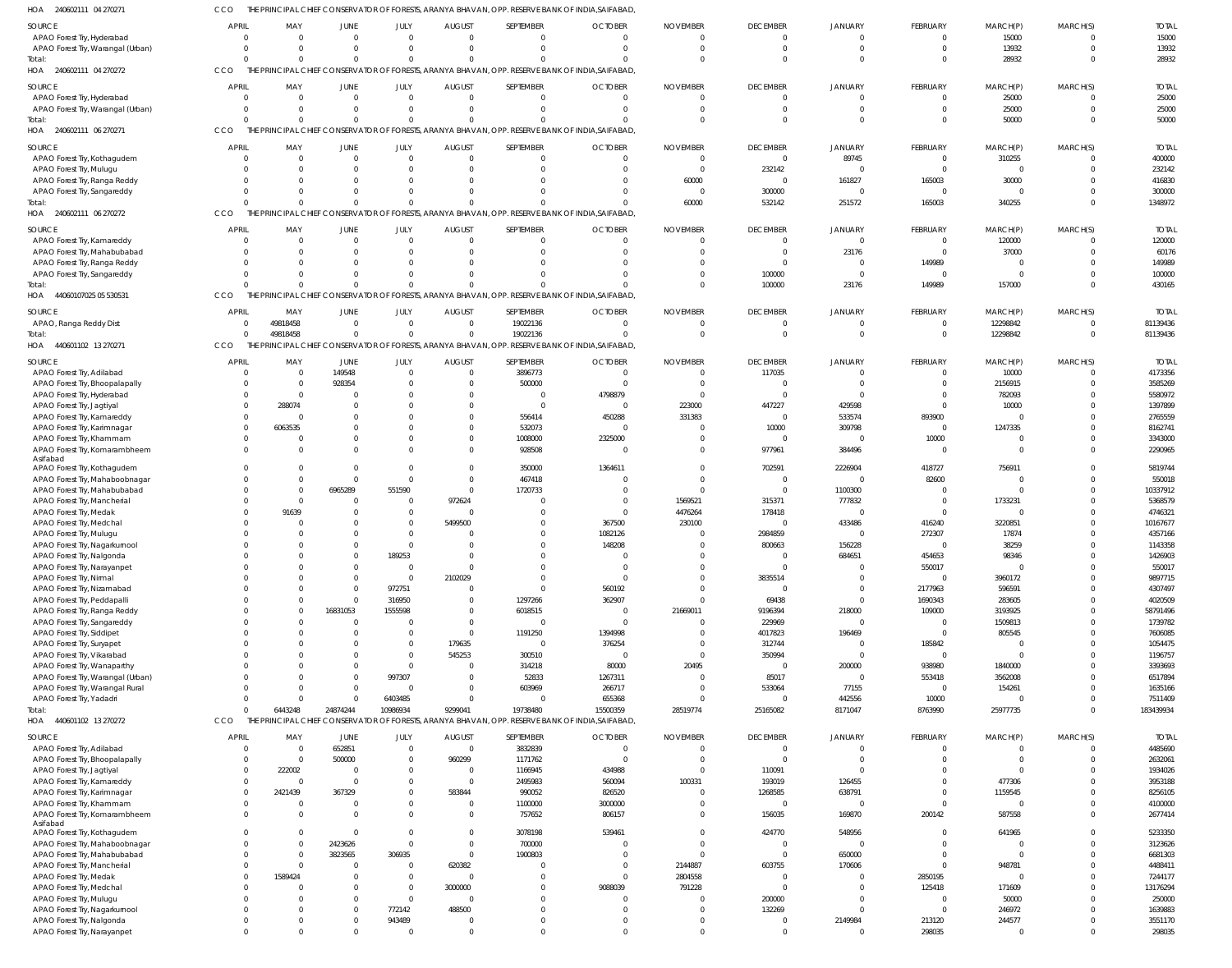| SOURCE                            | <b>APRIL</b> | MAY          | JUNE        | JULY           | <b>AUGUST</b>  | SEPTEMBER      | <b>OCTOBER</b>                                                                                   | <b>NOVEMBER</b> | <b>DECEMBER</b> | <b>JANUARY</b> | <b>FEBRUARY</b>          | MARCH(P)       | MARCH(S) | <b>TOTAL</b> |
|-----------------------------------|--------------|--------------|-------------|----------------|----------------|----------------|--------------------------------------------------------------------------------------------------|-----------------|-----------------|----------------|--------------------------|----------------|----------|--------------|
| APAO Forest Try, Hyderabad        | $\Omega$     | $\Omega$     | $\Omega$    | $\Omega$       | $\Omega$       | $\mathbf{0}$   | $\Omega$                                                                                         | $\Omega$        | $\Omega$        | $\Omega$       | $\overline{0}$           | 15000          | $\Omega$ | 15000        |
| APAO Forest Try, Warangal (Urban) |              | $\Omega$     | $\Omega$    | $\Omega$       | $\Omega$       | $\Omega$       | $\cap$                                                                                           | $\Omega$        | $\Omega$        | $\Omega$       | $\overline{0}$           | 13932          | $\Omega$ | 13932        |
| Total:                            |              | $\Omega$     | $\Omega$    | $\Omega$       | $\Omega$       | $\Omega$       |                                                                                                  | $\Omega$        | $\Omega$        | $\Omega$       | $\Omega$                 | 28932          | $\Omega$ | 28932        |
|                                   |              |              |             |                |                |                |                                                                                                  |                 |                 |                |                          |                |          |              |
| HOA 240602111 04 270272           | CCO          |              |             |                |                |                | THE PRINCIPAL CHIEF CONSERVATOR OF FORESTS, ARANYA BHAVAN, OPP. RESERVE BANK OF INDIA, SAIFABAD, |                 |                 |                |                          |                |          |              |
| SOURCE                            | <b>APRIL</b> | MAY          | <b>JUNE</b> | JULY           | <b>AUGUST</b>  | SEPTEMBER      | <b>OCTOBER</b>                                                                                   | <b>NOVEMBER</b> | <b>DECEMBER</b> | <b>JANUARY</b> | FEBRUARY                 | MARCH(P)       | MARCH(S) | <b>TOTAL</b> |
|                                   |              |              |             |                |                |                |                                                                                                  |                 |                 |                |                          |                |          |              |
| APAO Forest Try, Hyderabad        | $\sqrt{ }$   | $\Omega$     | $\mathbf 0$ | $\overline{0}$ | $\overline{0}$ | $\mathbf 0$    | $\Omega$                                                                                         | - 0             | $\overline{0}$  | $\overline{0}$ | $\overline{0}$           | 25000          | $\Omega$ | 25000        |
| APAO Forest Try, Warangal (Urban) |              | $\Omega$     | $\Omega$    | $\Omega$       | $\Omega$       | $\mathbf{0}$   | $\Omega$                                                                                         | $\Omega$        | $\Omega$        | $\overline{0}$ | $\overline{0}$           | 25000          | $\Omega$ | 25000        |
| Total:                            |              | $\Omega$     | $\Omega$    | $\Omega$       | $\Omega$       | $\Omega$       |                                                                                                  | $\cap$          | $\Omega$        | $\Omega$       | $\overline{0}$           | 50000          | $\Omega$ | 50000        |
| HOA 240602111 06 270271           | CCO          |              |             |                |                |                |                                                                                                  |                 |                 |                |                          |                |          |              |
|                                   |              |              |             |                |                |                | THE PRINCIPAL CHIEF CONSERVATOR OF FORESTS, ARANYA BHAVAN, OPP. RESERVE BANK OF INDIA, SAIFABAD, |                 |                 |                |                          |                |          |              |
| SOURCE                            | <b>APRIL</b> | MAY          | <b>JUNE</b> | JULY           | <b>AUGUST</b>  | SEPTEMBER      | <b>OCTOBER</b>                                                                                   | <b>NOVEMBER</b> | <b>DECEMBER</b> | <b>JANUARY</b> | <b>FEBRUARY</b>          | MARCH(P)       | MARCH(S) | <b>TOTAI</b> |
|                                   |              |              |             |                |                |                |                                                                                                  |                 |                 |                |                          |                |          |              |
| APAO Forest Try, Kothagudem       | $\Omega$     | $\Omega$     | $\Omega$    | $\overline{0}$ | $\Omega$       | $\Omega$       |                                                                                                  | $\Omega$        | $\Omega$        | 89745          | $\overline{0}$           | 310255         | $\Omega$ | 400000       |
| APAO Forest Try, Mulugu           |              | $\Omega$     | $\Omega$    | $\Omega$       | $\Omega$       | $\mathbf 0$    |                                                                                                  | $\Omega$        | 232142          | $\Omega$       | $\overline{0}$           | $\overline{0}$ | $\Omega$ | 232142       |
| APAO Forest Try, Ranga Reddy      |              | $\Omega$     | $\Omega$    | $\Omega$       | $\Omega$       | $\Omega$       |                                                                                                  | 60000           | $\Omega$        | 161827         | 165003                   | 30000          | $\Omega$ | 416830       |
|                                   |              |              |             |                |                |                |                                                                                                  |                 |                 |                |                          |                |          |              |
| APAO Forest Try, Sangareddy       |              | $\Omega$     | $\Omega$    | $\Omega$       | $\Omega$       | $\Omega$       |                                                                                                  | $\Omega$        | 300000          | $\overline{0}$ | $\overline{0}$           | $\Omega$       | $\Omega$ | 300000       |
| Total:                            |              | $\Omega$     | $\Omega$    | $\Omega$       | $\Omega$       | $\Omega$       |                                                                                                  | 60000           | 532142          | 251572         | 165003                   | 340255         | $\Omega$ | 1348972      |
| HOA 240602111 06 270272           | CCO          |              |             |                |                |                | THE PRINCIPAL CHIEF CONSERVATOR OF FORESTS, ARANYA BHAVAN, OPP. RESERVE BANK OF INDIA, SAIFABAD, |                 |                 |                |                          |                |          |              |
|                                   |              |              |             |                |                |                |                                                                                                  |                 |                 |                |                          |                |          |              |
| <b>SOURCE</b>                     | <b>APRIL</b> | MAY          | <b>JUNE</b> | JULY           | <b>AUGUST</b>  | SEPTEMBER      | <b>OCTOBER</b>                                                                                   | <b>NOVEMBER</b> | <b>DECEMBER</b> | JANUARY        | <b>FEBRUARY</b>          | MARCH(P)       | MARCH(S) | <b>TOTAL</b> |
| APAO Forest Try, Kamareddy        | - 0          | $\Omega$     | $\mathbf 0$ | $\overline{0}$ | $\overline{0}$ | $\overline{0}$ | $\Omega$                                                                                         | $\Omega$        | $\overline{0}$  | $\overline{0}$ | $\overline{\phantom{0}}$ | 120000         | $\Omega$ | 120000       |
|                                   |              |              |             |                |                |                |                                                                                                  |                 |                 |                |                          |                |          |              |
| APAO Forest Try, Mahabubabad      |              | $\Omega$     | $\Omega$    | $\Omega$       | $\Omega$       | $\mathbf{0}$   |                                                                                                  | - 0             | $\overline{0}$  | 23176          | $\overline{0}$           | 37000          | $\Omega$ | 60176        |
| APAO Forest Try, Ranga Reddy      |              | $\Omega$     |             | $\Omega$       | $\Omega$       | $\Omega$       |                                                                                                  |                 | $\Omega$        | $\Omega$       | 149989                   | $\overline{0}$ | $\Omega$ | 149989       |
| APAO Forest Try, Sangareddy       |              | $\Omega$     | $\Omega$    | $\Omega$       | $\Omega$       | $\Omega$       |                                                                                                  |                 | 100000          | $\Omega$       | $\overline{0}$           | $\overline{0}$ | $\Omega$ | 100000       |
|                                   |              | $\Omega$     | $\Omega$    | $\Omega$       | $\Omega$       | $\Omega$       |                                                                                                  |                 | 100000          | 23176          | 149989                   | 157000         | $\Omega$ | 430165       |
| Total:                            |              |              |             |                |                |                |                                                                                                  |                 |                 |                |                          |                |          |              |
| 44060107025 05 530531<br>HOA      | CCO          |              |             |                |                |                | PRINCIPAL CHIEF CONSERVATOR OF FORESTS, ARANYA BHAVAN, OPP. RESERVE BANK OF INDIA,SAIFABAD,      |                 |                 |                |                          |                |          |              |
|                                   |              |              |             |                |                |                |                                                                                                  |                 |                 |                |                          |                |          |              |
| <b>SOURCE</b>                     | <b>APRIL</b> | MAY          | <b>JUNE</b> | JULY           | <b>AUGUST</b>  | SEPTEMBER      | <b>OCTOBER</b>                                                                                   | <b>NOVEMBER</b> | <b>DECEMBER</b> | <b>JANUARY</b> | <b>FEBRUARY</b>          | MARCH(P)       | MARCH(S) | <b>TOTAI</b> |
| APAO, Ranga Reddy Dist            |              | 49818458     | $\Omega$    | $\Omega$       | $\Omega$       | 19022136       | $\Omega$                                                                                         | $\Omega$        | $\Omega$        | $\Omega$       | $\overline{0}$           | 12298842       | $\Omega$ | 81139436     |
| Total:                            |              | 49818458     | $\mathbf 0$ | $\mathbf{0}$   | $\Omega$       | 19022136       |                                                                                                  | $\Omega$        | $\Omega$        | $\Omega$       | $\overline{0}$           | 12298842       | $\Omega$ | 81139436     |
|                                   |              |              |             |                |                |                |                                                                                                  |                 |                 |                |                          |                |          |              |
| HOA 440601102 13 270271           | CCO          |              |             |                |                |                | THE PRINCIPAL CHIEF CONSERVATOR OF FORESTS, ARANYA BHAVAN, OPP. RESERVE BANK OF INDIA, SAIFABAD, |                 |                 |                |                          |                |          |              |
|                                   |              |              |             |                |                |                |                                                                                                  |                 |                 |                |                          |                |          |              |
| <b>SOURCE</b>                     | <b>APRIL</b> | MAY          | <b>JUNE</b> | JULY           | <b>AUGUST</b>  | SEPTEMBER      | <b>OCTOBER</b>                                                                                   | <b>NOVEMBER</b> | <b>DECEMBER</b> | JANUARY        | FEBRUARY                 | MARCH(P)       | MARCH(S) | <b>TOTAL</b> |
| APAO Forest Try, Adilabad         | $\Omega$     | $\Omega$     | 149548      | $\overline{0}$ | $\overline{0}$ | 3896773        | $\Omega$                                                                                         | $\Omega$        | 117035          | $\Omega$       | $\overline{0}$           | 10000          | $\Omega$ | 4173356      |
| APAO Forest Try, Bhoopalapally    |              | $\Omega$     | 928354      | $\overline{0}$ | $\Omega$       | 500000         | $\Omega$                                                                                         | - 0             | $\Omega$        | $\Omega$       | $\overline{0}$           | 2156915        | $\Omega$ | 3585269      |
|                                   |              |              |             |                |                |                |                                                                                                  |                 | $\Omega$        |                |                          |                |          |              |
| APAO Forest Try, Hyderabad        |              | $\Omega$     | 0           | $\Omega$       | $\Omega$       | $\overline{0}$ | 4798879                                                                                          | - 0             |                 | $\Omega$       | $\Omega$                 | 782093         | $\Omega$ | 5580972      |
| APAO Forest Try, Jagtiyal         |              | 288074       | 0           | $\Omega$       | $\Omega$       | $\mathbf{0}$   | $\Omega$                                                                                         | 223000          | 447227          | 429598         | $\Omega$                 | 10000          | $\Omega$ | 1397899      |
| APAO Forest Try, Kamareddy        |              | $\Omega$     | $\Omega$    | $\Omega$       | $\Omega$       | 556414         | 450288                                                                                           | 331383          | $\overline{0}$  | 533574         | 893900                   | $\mathbf{0}$   | $\Omega$ | 2765559      |
|                                   | $\Omega$     | 6063535      | 0           | $\Omega$       | $\Omega$       | 532073         | $\Omega$                                                                                         |                 | 10000           | 309798         | $\overline{0}$           | 1247335        | $\Omega$ | 8162741      |
| APAO Forest Try, Karimnagar       |              |              |             |                |                |                |                                                                                                  |                 |                 |                |                          |                |          |              |
| APAO Forest Try, Khammam          |              |              | $\Omega$    | $\Omega$       | $\Omega$       | 1008000        | 2325000                                                                                          |                 | $\Omega$        | $\Omega$       | 10000                    | $\mathbf{0}$   | $\Omega$ | 3343000      |
| APAO Forest Try, Komarambheem     |              | $\Omega$     | $\Omega$    | $\Omega$       | $\Omega$       | 928508         | - 0                                                                                              |                 | 977961          | 384496         | $\overline{0}$           | $\mathbf 0$    | $\Omega$ | 2290965      |
| Asifabad                          |              |              |             |                |                |                |                                                                                                  |                 |                 |                |                          |                |          |              |
| APAO Forest Try, Kothagudem       |              | $\Omega$     | $\Omega$    | $\Omega$       | $\Omega$       | 350000         | 1364611                                                                                          |                 | 702591          | 2226904        | 418727                   | 756911         | $\Omega$ | 5819744      |
|                                   |              |              |             |                |                |                |                                                                                                  |                 |                 |                |                          |                |          |              |
| APAO Forest Try, Mahaboobnagar    |              | $\Omega$     | $\mathbf 0$ | $\overline{0}$ | $\Omega$       | 467418         |                                                                                                  |                 | $\Omega$        | $\overline{0}$ | 82600                    | $\Omega$       | $\Omega$ | 550018       |
| APAO Forest Try, Mahabubabad      |              | $\Omega$     | 6965289     | 551590         | $\mathbf{0}$   | 1720733        | $\Omega$                                                                                         |                 | $\overline{0}$  | 1100300        | $\overline{0}$           | $\mathbf{0}$   | $\Omega$ | 10337912     |
| APAO Forest Try, Mancherial       |              | $\Omega$     | $\mathbf 0$ | $\overline{0}$ | 972624         | $\mathbf{0}$   | $\Omega$                                                                                         | 1569521         | 315371          | 777832         | $\overline{0}$           | 1733231        | $\Omega$ | 5368579      |
|                                   |              |              |             |                |                |                |                                                                                                  |                 |                 |                |                          |                |          |              |
| APAO Forest Try, Medak            |              | 91639        | $\Omega$    | $\mathbf{0}$   | $\Omega$       | $\Omega$       | $\Omega$                                                                                         | 4476264         | 178418          | $\Omega$       | $\Omega$                 | $\mathbf{0}$   | $\Omega$ | 4746321      |
| APAO Forest Try, Medchal          |              | $\Omega$     | 0           | $\mathbf{0}$   | 5499500        | $\mathbf 0$    | 367500                                                                                           | 230100          | $\overline{0}$  | 433486         | 416240                   | 3220851        |          | 10167677     |
| APAO Forest Try, Mulugu           |              | $\Omega$     |             | $\overline{0}$ | $\Omega$       | $\Omega$       | 1082126                                                                                          | - 0             | 2984859         | $\overline{0}$ | 272307                   | 17874          | $\cap$   | 4357166      |
|                                   |              | $\Omega$     |             |                | $\Omega$       |                |                                                                                                  |                 |                 |                |                          |                | $\Omega$ |              |
| APAO Forest Try, Nagarkurnool     |              |              | 0           | $\overline{0}$ |                | $\mathbf 0$    | 148208                                                                                           |                 | 800663          | 156228         | $\overline{0}$           | 38259          |          | 1143358      |
| APAO Forest Try, Nalgonda         |              | $\Omega$     | $\Omega$    | 189253         | $\Omega$       | $\Omega$       | $\Omega$                                                                                         | $\Omega$        | $\Omega$        | 684651         | 454653                   | 98346          | $\Omega$ | 1426903      |
| APAO Forest Try, Narayanpet       |              |              |             | $\Omega$       |                | $\mathbf{0}$   |                                                                                                  |                 |                 | $\Omega$       | 550017                   | $\Omega$       |          | 550017       |
| APAO Forest Try, Nirmal           |              |              | $\Omega$    | $\overline{0}$ | 2102029        | $\mathbf{0}$   | $\Omega$                                                                                         |                 | 3835514         | $\Omega$       | $\overline{0}$           | 3960172        | $\Omega$ | 9897715      |
|                                   |              |              |             |                |                |                |                                                                                                  |                 |                 |                |                          |                |          |              |
| APAO Forest Try, Nizamabad        |              | $\Omega$     | $\mathbf 0$ | 972751         | $\mathbf{0}$   | $\overline{0}$ | 560192                                                                                           | $\Omega$        | $\overline{0}$  | $\overline{0}$ | 2177963                  | 596591         | $\Omega$ | 4307497      |
| APAO Forest Try, Peddapalli       |              | <sup>0</sup> | $\mathbf 0$ | 316950         | $\Omega$       | 1297266        | 362907                                                                                           |                 | 69438           | $\Omega$       | 1690343                  | 283605         | $\Omega$ | 4020509      |
| APAO Forest Try, Ranga Reddy      |              | $\Omega$     | 16831053    | 1555598        | $\Omega$       | 6018515        | $\Omega$                                                                                         | 21669011        | 9196394         | 218000         | 109000                   | 3193925        | $\Omega$ | 58791496     |
|                                   |              |              |             |                |                |                |                                                                                                  |                 |                 |                |                          |                |          |              |
| APAO Forest Try, Sangareddy       |              | $\Omega$     | $\mathbf 0$ | $\overline{0}$ | $\Omega$       | $\mathbf 0$    | $\Omega$                                                                                         | - 0             | 229969          | $\overline{0}$ | $\overline{\mathbf{0}}$  | 1509813        | $\Omega$ | 1739782      |
| APAO Forest Try, Siddipet         |              | <sup>0</sup> | $\Omega$    | $\overline{0}$ | $\mathbf{0}$   | 1191250        | 1394998                                                                                          |                 | 4017823         | 196469         | $\overline{0}$           | 805545         | $\Omega$ | 7606085      |
| APAO Forest Try, Suryapet         |              | $\Omega$     |             | $\mathbf 0$    | 179635         | $\mathbf 0$    | 376254                                                                                           |                 | 312744          | $\overline{0}$ | 185842                   | $\overline{0}$ | $\Omega$ | 1054475      |
| APAO Forest Try, Vikarabad        |              | <sup>0</sup> | U           | $\mathbf 0$    | 545253         | 300510         | $\Omega$                                                                                         | $\Omega$        | 350994          | $\Omega$       | $\overline{0}$           | $\mathbf 0$    | $\Omega$ | 1196757      |
|                                   |              |              |             |                |                |                |                                                                                                  |                 |                 |                |                          |                |          |              |
| APAO Forest Try, Wanaparthy       |              |              |             | $\Omega$       | $\overline{0}$ | 314218         | 80000                                                                                            | 20495           | $\overline{0}$  | 200000         | 938980                   | 1840000        | $\Omega$ | 3393693      |
| APAO Forest Try, Warangal (Urban) |              | <sup>0</sup> | $\Omega$    | 997307         | $\overline{0}$ | 52833          | 1267311                                                                                          | - 0             | 85017           | $\overline{0}$ | 553418                   | 3562008        | $\Omega$ | 6517894      |
| APAO Forest Try, Warangal Rural   |              | <sup>0</sup> | $\Omega$    | $\overline{0}$ | $\Omega$       | 603969         | 266717                                                                                           | $\Omega$        | 533064          | 77155          | $\overline{0}$           | 154261         | $\Omega$ | 1635166      |
|                                   |              |              |             |                |                |                |                                                                                                  |                 |                 |                |                          |                |          |              |
| APAO Forest Try, Yadadri          | $\Omega$     | $\Omega$     | $\mathbf 0$ | 6403485        | $\Omega$       | $\overline{0}$ | 655368                                                                                           | - 0             | $\overline{0}$  | 442556         | 10000                    | $\mathbf 0$    | $\Omega$ | 7511409      |
| Total:                            |              | 6443248      | 24874244    | 10986934       | 9299041        | 19738480       | 15500359                                                                                         | 28519774        | 25165082        | 8171047        | 8763990                  | 25977735       | $\Omega$ | 183439934    |
| HOA 440601102 13 270272           | <b>CCO</b>   |              |             |                |                |                | THE PRINCIPAL CHIEF CONSERVATOR OF FORESTS, ARANYA BHAVAN, OPP. RESERVE BANK OF INDIA, SAIFABAD, |                 |                 |                |                          |                |          |              |
|                                   |              |              |             |                |                |                |                                                                                                  |                 |                 |                |                          |                |          |              |
| SOURCE                            | <b>APRIL</b> | MAY          | JUNE        | JULY           | <b>AUGUST</b>  | SEPTEMBER      | <b>OCTOBER</b>                                                                                   | <b>NOVEMBER</b> | <b>DECEMBER</b> | <b>JANUARY</b> | <b>FEBRUARY</b>          | MARCH(P)       | MARCH(S) | <b>TOTAL</b> |
| APAO Forest Try, Adilabad         | $\Omega$     | $\Omega$     | 652851      | $\overline{0}$ | $\overline{0}$ | 3832839        | $\Omega$                                                                                         | $\Omega$        | $\overline{0}$  | $\overline{0}$ | $\overline{0}$           | $\mathbf{0}$   | $\Omega$ | 4485690      |
|                                   |              |              |             |                |                |                |                                                                                                  |                 |                 |                |                          |                |          |              |
| APAO Forest Try, Bhoopalapally    |              | $\Omega$     | 500000      | $\overline{0}$ | 960299         | 1171762        | $\Omega$                                                                                         | - 0             | $\Omega$        | $\Omega$       | $\Omega$                 | $\Omega$       | $\Omega$ | 2632061      |
| APAO Forest Try, Jagtiyal         |              | 222002       | $\Omega$    | $\Omega$       | $\Omega$       | 1166945        | 434988                                                                                           | $\Omega$        | 110091          | $\Omega$       | $\Omega$                 | $\Omega$       | $\Omega$ | 1934026      |
| APAO Forest Try, Kamareddy        |              | $\Omega$     | $\Omega$    | $\Omega$       | $\Omega$       | 2495983        | 560094                                                                                           | 100331          | 193019          | 126455         | $\Omega$                 | 477306         | $\Omega$ | 3953188      |
|                                   |              |              |             |                |                |                |                                                                                                  |                 |                 |                |                          |                |          |              |
| APAO Forest Try, Karimnagar       |              | 2421439      | 367329      | $\Omega$       | 583844         | 990052         | 826520                                                                                           |                 | 1268585         | 638791         | $\overline{0}$           | 1159545        |          | 8256105      |
| APAO Forest Try, Khammam          | $\Omega$     | $\Omega$     | $\Omega$    | $\Omega$       | $\mathbf{0}$   | 1100000        | 3000000                                                                                          |                 | $\Omega$        | $\Omega$       | $\Omega$                 | $\Omega$       | $\Omega$ | 4100000      |
| APAO Forest Try, Komarambheem     |              | $\Omega$     | $\Omega$    | $\Omega$       | $\mathbf{0}$   | 757652         | 806157                                                                                           |                 | 156035          | 169870         | 200142                   | 587558         | $\Omega$ | 2677414      |
| Asifabad                          |              |              |             |                |                |                |                                                                                                  |                 |                 |                |                          |                |          |              |
|                                   |              | $\Omega$     | $\Omega$    | $\overline{0}$ | $\Omega$       |                |                                                                                                  |                 |                 |                | $\Omega$                 |                | $\Omega$ |              |
| APAO Forest Try, Kothagudem       |              |              |             |                |                | 3078198        | 539461                                                                                           |                 | 424770          | 548956         |                          | 641965         |          | 5233350      |
| APAO Forest Try, Mahaboobnagar    |              | $\Omega$     | 2423626     | $\Omega$       | $\Omega$       | 700000         |                                                                                                  | $\Omega$        | $\overline{0}$  | $\Omega$       | $\Omega$                 | $\Omega$       | $\Omega$ | 3123626      |
| APAO Forest Try, Mahabubabad      |              | $\Omega$     | 3823565     | 306935         | $\Omega$       | 1900803        |                                                                                                  |                 | $\overline{0}$  | 650000         | $\Omega$                 | $\Omega$       | $\Omega$ | 6681303      |
|                                   |              | $\Omega$     | $\Omega$    | $\overline{0}$ | 620382         | $\Omega$       | $\Omega$                                                                                         | 2144887         | 603755          | 170606         | $\overline{0}$           | 948781         |          | 4488411      |
| APAO Forest Try, Mancherial       |              |              |             |                |                |                |                                                                                                  |                 |                 |                |                          |                |          |              |
| APAO Forest Try, Medak            |              | 1589424      | $\Omega$    | $\Omega$       | $\Omega$       | $\Omega$       |                                                                                                  | 2804558         | $\Omega$        | $\Omega$       | 2850195                  | $\Omega$       | $\Omega$ | 7244177      |
| APAO Forest Try, Medchal          |              |              |             | $\Omega$       | 3000000        | $\Omega$       | 9088039                                                                                          | 791228          | $\Omega$        | $\Omega$       | 125418                   | 171609         |          | 13176294     |
| APAO Forest Try, Mulugu           |              | $\Omega$     | $\Omega$    | $\overline{0}$ | $\Omega$       | $\Omega$       |                                                                                                  |                 | 200000          | $\Omega$       | $\Omega$                 | 50000          | $\Omega$ | 250000       |
|                                   |              |              |             |                |                |                |                                                                                                  |                 |                 |                |                          |                |          |              |
| APAO Forest Try, Nagarkurnool     |              | $\Omega$     | $\Omega$    | 772142         | 488500         | $\Omega$       | $\Omega$                                                                                         | $\Omega$        | 132269          | $\Omega$       | $\overline{0}$           | 246972         | $\Omega$ | 1639883      |
| APAO Forest Try, Nalgonda         |              | 0            | $\Omega$    | 943489         | $\Omega$       | $\mathbf 0$    |                                                                                                  |                 | $\overline{0}$  | 2149984        | 213120                   | 244577         | $\Omega$ | 3551170      |
| APAO Forest Try, Narayanpet       |              | $\Omega$     | $\Omega$    | $\overline{0}$ | $\Omega$       | $\Omega$       |                                                                                                  | $\Omega$        | $\Omega$        | $\mathbf{0}$   | 298035                   | $\mathbf 0$    | $\Omega$ | 298035       |
|                                   |              |              |             |                |                |                |                                                                                                  |                 |                 |                |                          |                |          |              |

CCO THE PRINCIPAL CHIEF CONSERVATOR OF FORESTS, ARANYA BHAVAN, OPP. RESERVE BANK OF INDIA,SAIFABAD,

240602111 04 270271 HOA